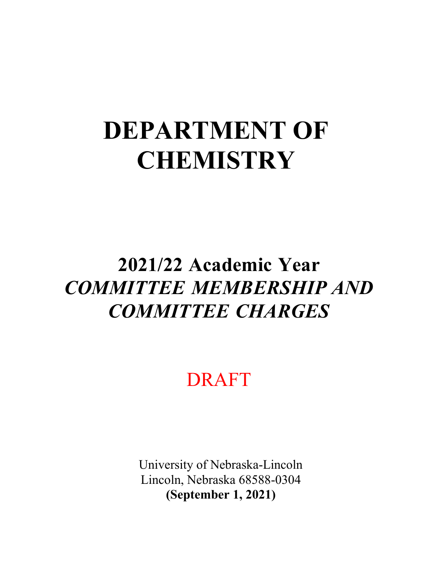# **DEPARTMENT OF CHEMISTRY**

## **2021/22 Academic Year**  *COMMITTEE MEMBERSHIP AND COMMITTEE CHARGES*

DRAFT

University of Nebraska-Lincoln Lincoln, Nebraska 68588-0304 **(September 1, 2021)**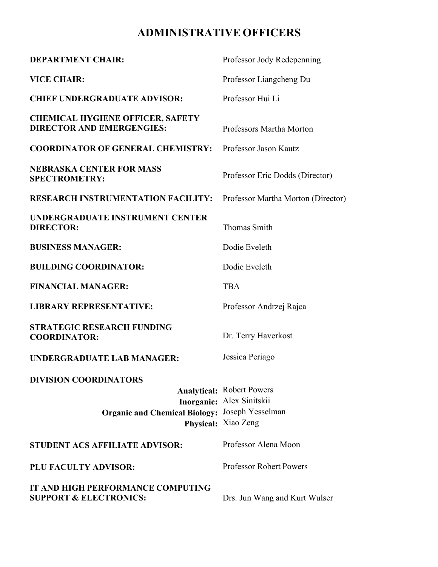## **ADMINISTRATIVE OFFICERS**

| <b>DEPARTMENT CHAIR:</b>                                                              | Professor Jody Redepenning                                                           |
|---------------------------------------------------------------------------------------|--------------------------------------------------------------------------------------|
| <b>VICE CHAIR:</b>                                                                    | Professor Liangcheng Du                                                              |
| <b>CHIEF UNDERGRADUATE ADVISOR:</b>                                                   | Professor Hui Li                                                                     |
| <b>CHEMICAL HYGIENE OFFICER, SAFETY</b><br><b>DIRECTOR AND EMERGENGIES:</b>           | Professors Martha Morton                                                             |
| <b>COORDINATOR OF GENERAL CHEMISTRY:</b>                                              | Professor Jason Kautz                                                                |
| <b>NEBRASKA CENTER FOR MASS</b><br><b>SPECTROMETRY:</b>                               | Professor Eric Dodds (Director)                                                      |
| <b>RESEARCH INSTRUMENTATION FACILITY:</b>                                             | Professor Martha Morton (Director)                                                   |
| UNDERGRADUATE INSTRUMENT CENTER<br><b>DIRECTOR:</b>                                   | <b>Thomas Smith</b>                                                                  |
| <b>BUSINESS MANAGER:</b>                                                              | Dodie Eveleth                                                                        |
| <b>BUILDING COORDINATOR:</b>                                                          | Dodie Eveleth                                                                        |
| <b>FINANCIAL MANAGER:</b>                                                             | <b>TBA</b>                                                                           |
| <b>LIBRARY REPRESENTATIVE:</b>                                                        | Professor Andrzej Rajca                                                              |
| <b>STRATEGIC RESEARCH FUNDING</b><br><b>COORDINATOR:</b>                              | Dr. Terry Haverkost                                                                  |
| <b>UNDERGRADUATE LAB MANAGER:</b>                                                     | Jessica Periago                                                                      |
| <b>DIVISION COORDINATORS</b><br><b>Organic and Chemical Biology:</b> Joseph Yesselman | <b>Analytical:</b> Robert Powers<br>Inorganic: Alex Sinitskii<br>Physical: Xiao Zeng |
| <b>STUDENT ACS AFFILIATE ADVISOR:</b>                                                 | Professor Alena Moon                                                                 |
| PLU FACULTY ADVISOR:                                                                  | <b>Professor Robert Powers</b>                                                       |
| IT AND HIGH PERFORMANCE COMPUTING<br><b>SUPPORT &amp; ELECTRONICS:</b>                | Drs. Jun Wang and Kurt Wulser                                                        |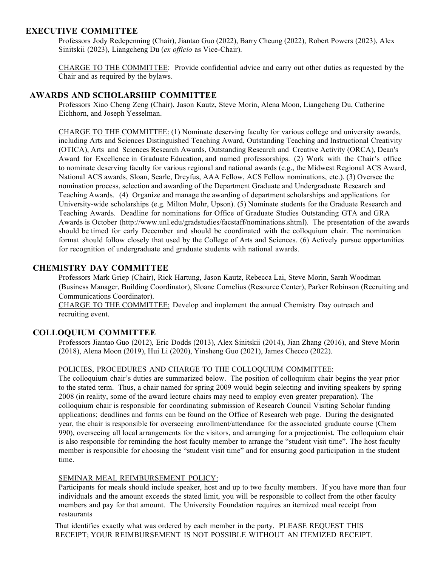#### **EXECUTIVE COMMITTEE**

Professors Jody Redepenning (Chair), Jiantao Guo (2022), Barry Cheung (2022), Robert Powers (2023), Alex Sinitskii (2023), Liangcheng Du (*ex officio* as Vice-Chair).

CHARGE TO THE COMMITTEE: Provide confidential advice and carry out other duties as requested by the Chair and as required by the bylaws.

#### **AWARDS AND SCHOLARSHIP COMMITTEE**

Professors Xiao Cheng Zeng (Chair), Jason Kautz, Steve Morin, Alena Moon, Liangcheng Du, Catherine Eichhorn, and Joseph Yesselman.

CHARGE TO THE COMMITTEE: (1) Nominate deserving faculty for various college and university awards, including Arts and Sciences Distinguished Teaching Award, Outstanding Teaching and Instructional Creativity (OTICA), Arts and Sciences Research Awards, Outstanding Research and Creative Activity (ORCA), Dean's Award for Excellence in Graduate Education, and named professorships. (2) Work with the Chair's office to nominate deserving faculty for various regional and national awards (e.g., the Midwest Regional ACS Award, National ACS awards, Sloan, Searle, Dreyfus, AAA Fellow, ACS Fellow nominations, etc.). (3) Oversee the nomination process, selection and awarding of the Department Graduate and Undergraduate Research and Teaching Awards. (4) Organize and manage the awarding of department scholarships and applications for University-wide scholarships (e.g. Milton Mohr, Upson). (5) Nominate students for the Graduate Research and Teaching Awards. Deadline for nominations for Office of Graduate Studies Outstanding GTA and GRA Awards is October [\(http://www.unl.edu/gradstudies/facstaff/nominations.shtml\). T](http://www.unl.edu/gradstudies/facstaff/nominations.shtml))he presentation of the awards should be timed for early December and should be coordinated with the colloquium chair. The nomination format should follow closely that used by the College of Arts and Sciences. (6) Actively pursue opportunities for recognition of undergraduate and graduate students with national awards.

#### **CHEMISTRY DAY COMMITTEE**

Professors Mark Griep (Chair), Rick Hartung, Jason Kautz, Rebecca Lai, Steve Morin, Sarah Woodman (Business Manager, Building Coordinator), Sloane Cornelius (Resource Center), Parker Robinson (Recruiting and Communications Coordinator).

CHARGE TO THE COMMITTEE: Develop and implement the annual Chemistry Day outreach and recruiting event.

#### **COLLOQUIUM COMMITTEE**

Professors Jiantao Guo (2012), Eric Dodds (2013), Alex Sinitskii (2014), Jian Zhang (2016), and Steve Morin (2018), Alena Moon (2019), Hui Li (2020), Yinsheng Guo (2021), James Checco (2022).

#### POLICIES, PROCEDURES AND CHARGE TO THE COLLOQUIUM COMMITTEE:

The colloquium chair's duties are summarized below. The position of colloquium chair begins the year prior to the stated term. Thus, a chair named for spring 2009 would begin selecting and inviting speakers by spring 2008 (in reality, some of the award lecture chairs may need to employ even greater preparation). The colloquium chair is responsible for coordinating submission of Research Council Visiting Scholar funding applications; deadlines and forms can be found on the Office of Research web page. During the designated year, the chair is responsible for overseeing enrollment/attendance for the associated graduate course (Chem 990), overseeing all local arrangements for the visitors, and arranging for a projectionist. The colloquium chair is also responsible for reminding the host faculty member to arrange the "student visit time". The host faculty member is responsible for choosing the "student visit time" and for ensuring good participation in the student time.

#### SEMINAR MEAL REIMBURSEMENT POLICY:

Participants for meals should include speaker, host and up to two faculty members. If you have more than four individuals and the amount exceeds the stated limit, you will be responsible to collect from the other faculty members and pay for that amount. The University Foundation requires an itemized meal receipt from restaurants

That identifies exactly what was ordered by each member in the party. PLEASE REQUEST THIS RECEIPT; YOUR REIMBURSEMENT IS NOT POSSIBLE WITHOUT AN ITEMIZED RECEIPT.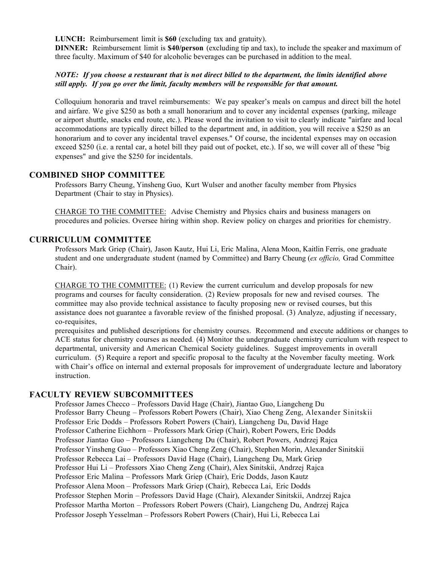**LUNCH:** Reimbursement limit is **\$60** (excluding tax and gratuity).

**DINNER:** Reimbursement limit is **\$40/person** (excluding tip and tax), to include the speaker and maximum of three faculty. Maximum of \$40 for alcoholic beverages can be purchased in addition to the meal.

#### *NOTE: If you choose a restaurant that is not direct billed to the department, the limits identified above still apply. If you go over the limit, faculty members will be responsible for that amount.*

Colloquium honoraria and travel reimbursements: We pay speaker's meals on campus and direct bill the hotel and airfare. We give \$250 as both a small honorarium and to cover any incidental expenses (parking, mileage or airport shuttle, snacks end route, etc.). Please word the invitation to visit to clearly indicate "airfare and local accommodations are typically direct billed to the department and, in addition, you will receive a \$250 as an honorarium and to cover any incidental travel expenses." Of course, the incidental expenses may on occasion exceed \$250 (i.e. a rental car, a hotel bill they paid out of pocket, etc.). If so, we will cover all of these "big expenses" and give the \$250 for incidentals.

#### **COMBINED SHOP COMMITTEE**

Professors Barry Cheung, Yinsheng Guo, Kurt Wulser and another faculty member from Physics Department (Chair to stay in Physics).

CHARGE TO THE COMMITTEE: Advise Chemistry and Physics chairs and business managers on procedures and policies. Oversee hiring within shop. Review policy on charges and priorities for chemistry.

#### **CURRICULUM COMMITTEE**

Professors Mark Griep (Chair), Jason Kautz, Hui Li, Eric Malina, Alena Moon, Kaitlin Ferris, one graduate student and one undergraduate student (named by Committee) and Barry Cheung (*ex officio,* Grad Committee Chair).

CHARGE TO THE COMMITTEE: (1) Review the current curriculum and develop proposals for new programs and courses for faculty consideration. (2) Review proposals for new and revised courses. The committee may also provide technical assistance to faculty proposing new or revised courses, but this assistance does not guarantee a favorable review of the finished proposal. (3) Analyze, adjusting if necessary, co-requisites,

prerequisites and published descriptions for chemistry courses. Recommend and execute additions or changes to ACE status for chemistry courses as needed. (4) Monitor the undergraduate chemistry curriculum with respect to departmental, university and American Chemical Society guidelines. Suggest improvements in overall curriculum. (5) Require a report and specific proposal to the faculty at the November faculty meeting. Work with Chair's office on internal and external proposals for improvement of undergraduate lecture and laboratory instruction.

#### **FACULTY REVIEW SUBCOMMITTEES**

Professor James Checco – Professors David Hage (Chair), Jiantao Guo, Liangcheng Du Professor Barry Cheung – Professors Robert Powers (Chair), Xiao Cheng Zeng, Alexander Sinitskii Professor Eric Dodds – Professors Robert Powers (Chair), Liangcheng Du, David Hage Professor Catherine Eichhorn – Professors Mark Griep (Chair), Robert Powers, Eric Dodds Professor Jiantao Guo – Professors Liangcheng Du (Chair), Robert Powers, Andrzej Rajca Professor Yinsheng Guo – Professors Xiao Cheng Zeng (Chair), Stephen Morin, Alexander Sinitskii Professor Rebecca Lai – Professors David Hage (Chair), Liangcheng Du, Mark Griep Professor Hui Li – Professors Xiao Cheng Zeng (Chair), Alex Sinitskii, Andrzej Rajca Professor Eric Malina – Professors Mark Griep (Chair), Eric Dodds, Jason Kautz Professor Alena Moon – Professors Mark Griep (Chair), Rebecca Lai, Eric Dodds Professor Stephen Morin – Professors David Hage (Chair), Alexander Sinitskii, Andrzej Rajca Professor Martha Morton – Professors Robert Powers (Chair), Liangcheng Du, Andrzej Rajca Professor Joseph Yesselman – Professors Robert Powers (Chair), Hui Li, Rebecca Lai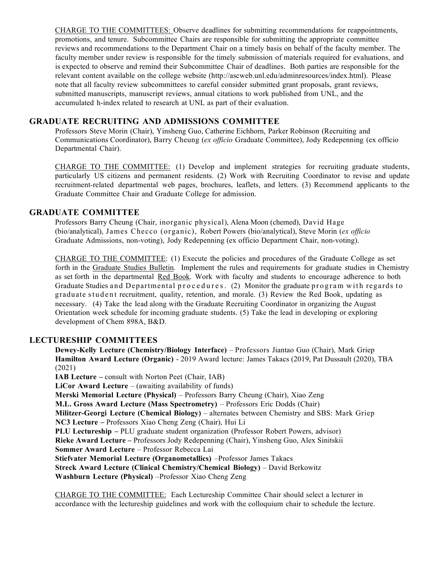CHARGE TO THE COMMITTEES: Observe deadlines for submitting recommendations for reappointments, promotions, and tenure. Subcommittee Chairs are responsible for submitting the appropriate committee reviews and recommendations to the Department Chair on a timely basis on behalf of the faculty member. The faculty member under review is responsible for the timely submission of materials required for evaluations, and is expected to observe and remind their Subcommittee Chair of deadlines. Both parties are responsible for the relevant content available on the college website [\(http://ascweb.unl.edu/adminresources/index.html\).](http://ascweb.unl.edu/adminresources/index.html)) Please note that all faculty review subcommittees to careful consider submitted grant proposals, grant reviews, submitted manuscripts, manuscript reviews, annual citations to work published from UNL, and the accumulated h-index related to research at UNL as part of their evaluation.

#### **GRADUATE RECRUITING AND ADMISSIONS COMMITTEE**

Professors Steve Morin (Chair), Yinsheng Guo, Catherine Eichhorn, Parker Robinson (Recruiting and Communications Coordinator), Barry Cheung (*ex officio* Graduate Committee), Jody Redepenning (ex officio Departmental Chair).

CHARGE TO THE COMMITTEE: (1) Develop and implement strategies for recruiting graduate students, particularly US citizens and permanent residents. (2) Work with Recruiting Coordinator to revise and update recruitment-related departmental web pages, brochures, leaflets, and letters. (3) Recommend applicants to the Graduate Committee Chair and Graduate College for admission.

#### **GRADUATE COMMITTEE**

Professors Barry Cheung (Chair, inorganic physical), Alena Moon (chemed), David Hage (bio/analytical), James Checco (organic), Robert Powers (bio/analytical), Steve Morin (*ex officio* Graduate Admissions, non-voting), Jody Redepenning (ex officio Department Chair, non-voting).

CHARGE TO THE COMMITTEE: (1) Execute the policies and procedures of the Graduate College as set forth in the Graduate Studies Bulletin. Implement the rules and requirements for graduate studies in Chemistry as set forth in the departmental Red Book. Work with faculty and students to encourage adherence to both Graduate Studies and Departmental procedures. (2) Monitor the graduate program with regards to graduate student recruitment, quality, retention, and morale. (3) Review the Red Book, updating as necessary. (4) Take the lead along with the Graduate Recruiting Coordinator in organizing the August Orientation week schedule for incoming graduate students. (5) Take the lead in developing or exploring development of Chem 898A, B&D.

#### **LECTURESHIP COMMITTEES**

**Dewey-Kelly Lecture (Chemistry/Biology Interface)** – Professors Jiantao Guo (Chair), Mark Griep **Hamilton Award Lecture (Organic)** - 2019 Award lecture: James Takacs (2019, Pat Dussault (2020), TBA (2021) **IAB Lecture –** consult with Norton Peet (Chair, IAB) **LiCor Award Lecture** – (awaiting availability of funds) **Merski Memorial Lecture (Physical)** – Professors Barry Cheung (Chair), Xiao Zeng **M.L. Gross Award Lecture (Mass Spectrometry)** – Professors Eric Dodds (Chair) **Militzer-Georgi Lecture (Chemical Biology)** – alternates between Chemistry and SBS: Mark Griep **NC3 Lecture –** Professors Xiao Cheng Zeng (Chair), Hui Li **PLU Lectureship –** PLU graduate student organization (Professor Robert Powers, advisor) **Rieke Award Lecture –** Professors Jody Redepenning (Chair), Yinsheng Guo, Alex Sinitskii **Sommer Award Lecture** – Professor Rebecca Lai **Stiefvater Memorial Lecture (Organometallics)** –Professor James Takacs **Streck Award Lecture (Clinical Chemistry/Chemical Biology)** – David Berkowitz **Washburn Lecture (Physical)** –Professor Xiao Cheng Zeng

CHARGE TO THE COMMITTEE: Each Lectureship Committee Chair should select a lecturer in accordance with the lectureship guidelines and work with the colloquium chair to schedule the lecture.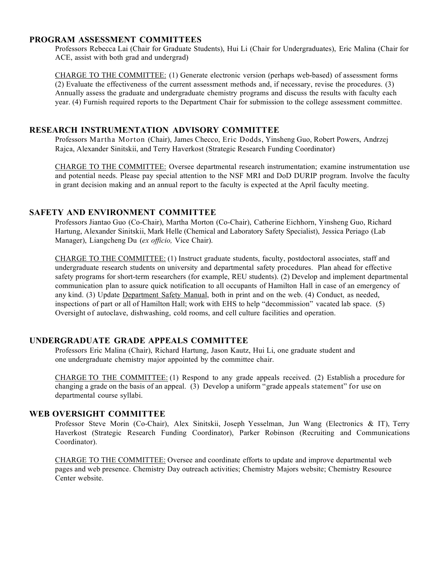#### **PROGRAM ASSESSMENT COMMITTEES**

Professors Rebecca Lai (Chair for Graduate Students), Hui Li (Chair for Undergraduates), Eric Malina (Chair for ACE, assist with both grad and undergrad)

CHARGE TO THE COMMITTEE: (1) Generate electronic version (perhaps web-based) of assessment forms (2) Evaluate the effectiveness of the current assessment methods and, if necessary, revise the procedures. (3) Annually assess the graduate and undergraduate chemistry programs and discuss the results with faculty each year. (4) Furnish required reports to the Department Chair for submission to the college assessment committee.

#### **RESEARCH INSTRUMENTATION ADVISORY COMMITTEE**

Professors Martha Morton (Chair), James Checco, Eric Dodds, Yinsheng Guo, Robert Powers, Andrzej Rajca, Alexander Sinitskii, and Terry Haverkost (Strategic Research Funding Coordinator)

CHARGE TO THE COMMITTEE: Oversee departmental research instrumentation; examine instrumentation use and potential needs. Please pay special attention to the NSF MRI and DoD DURIP program. Involve the faculty in grant decision making and an annual report to the faculty is expected at the April faculty meeting.

#### **SAFETY AND ENVIRONMENT COMMITTEE**

Professors Jiantao Guo (Co-Chair), Martha Morton (Co-Chair), Catherine Eichhorn, Yinsheng Guo, Richard Hartung, Alexander Sinitskii, Mark Helle (Chemical and Laboratory Safety Specialist), Jessica Periago (Lab Manager), Liangcheng Du (*ex officio,* Vice Chair).

CHARGE TO THE COMMITTEE: (1) Instruct graduate students, faculty, postdoctoral associates, staff and undergraduate research students on university and departmental safety procedures. Plan ahead for effective safety programs for short-term researchers (for example, REU students). (2) Develop and implement departmental communication plan to assure quick notification to all occupants of Hamilton Hall in case of an emergency of any kind. (3) Update Department Safety Manual, both in print and on the web. (4) Conduct, as needed, inspections of part or all of Hamilton Hall; work with EHS to help "decommission" vacated lab space. (5) Oversight of autoclave, dishwashing, cold rooms, and cell culture facilities and operation.

#### **UNDERGRADUATE GRADE APPEALS COMMITTEE**

Professors Eric Malina (Chair), Richard Hartung, Jason Kautz, Hui Li, one graduate student and one undergraduate chemistry major appointed by the committee chair.

CHARGE TO THE COMMITTEE: (1) Respond to any grade appeals received. (2) Establish a procedure for changing a grade on the basis of an appeal. (3) Develop a uniform "grade appeals statement" for use on departmental course syllabi.

#### **WEB OVERSIGHT COMMITTEE**

Professor Steve Morin (Co-Chair), Alex Sinitskii, Joseph Yesselman, Jun Wang (Electronics & IT), Terry Haverkost (Strategic Research Funding Coordinator), Parker Robinson (Recruiting and Communications Coordinator).

CHARGE TO THE COMMITTEE: Oversee and coordinate efforts to update and improve departmental web pages and web presence. Chemistry Day outreach activities; Chemistry Majors website; Chemistry Resource Center website.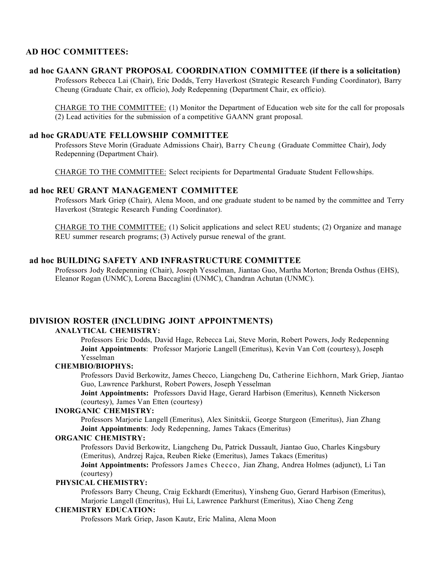#### **AD HOC COMMITTEES:**

#### **ad hoc GAANN GRANT PROPOSAL COORDINATION COMMITTEE (if there is a solicitation)**

Professors Rebecca Lai (Chair), Eric Dodds, Terry Haverkost (Strategic Research Funding Coordinator), Barry Cheung (Graduate Chair, ex officio), Jody Redepenning (Department Chair, ex officio).

CHARGE TO THE COMMITTEE: (1) Monitor the Department of Education web site for the call for proposals (2) Lead activities for the submission of a competitive GAANN grant proposal.

#### **ad hoc GRADUATE FELLOWSHIP COMMITTEE**

Professors Steve Morin (Graduate Admissions Chair), Barry Cheung (Graduate Committee Chair), Jody Redepenning (Department Chair).

CHARGE TO THE COMMITTEE: Select recipients for Departmental Graduate Student Fellowships.

#### **ad hoc REU GRANT MANAGEMENT COMMITTEE**

Professors Mark Griep (Chair), Alena Moon, and one graduate student to be named by the committee and Terry Haverkost (Strategic Research Funding Coordinator).

CHARGE TO THE COMMITTEE: (1) Solicit applications and select REU students; (2) Organize and manage REU summer research programs; (3) Actively pursue renewal of the grant.

#### **ad hoc BUILDING SAFETY AND INFRASTRUCTURE COMMITTEE**

Professors Jody Redepenning (Chair), Joseph Yesselman, Jiantao Guo, Martha Morton; Brenda Osthus (EHS), Eleanor Rogan (UNMC), Lorena Baccaglini (UNMC), Chandran Achutan (UNMC).

#### **DIVISION ROSTER (INCLUDING JOINT APPOINTMENTS)**

#### **ANALYTICAL CHEMISTRY:**

Professors Eric Dodds, David Hage, Rebecca Lai, Steve Morin, Robert Powers, Jody Redepenning **Joint Appointments**: Professor Marjorie Langell (Emeritus), Kevin Van Cott (courtesy), Joseph Yesselman

#### **CHEMBIO/BIOPHYS:**

Professors David Berkowitz, James Checco, Liangcheng Du, Catherine Eichhorn, Mark Griep, Jiantao Guo, Lawrence Parkhurst, Robert Powers, Joseph Yesselman

**Joint Appointments:** Professors David Hage, Gerard Harbison (Emeritus), Kenneth Nickerson (courtesy), James Van Etten (courtesy)

#### **INORGANIC CHEMISTRY:**

Professors Marjorie Langell (Emeritus), Alex Sinitskii, George Sturgeon (Emeritus), Jian Zhang **Joint Appointments**: Jody Redepenning, James Takacs (Emeritus)

#### **ORGANIC CHEMISTRY:**

Professors David Berkowitz, Liangcheng Du, Patrick Dussault, Jiantao Guo, Charles Kingsbury (Emeritus), Andrzej Rajca, Reuben Rieke (Emeritus), James Takacs (Emeritus) **Joint Appointments:** Professors James Checco, Jian Zhang, Andrea Holmes (adjunct), Li Tan

(courtesy)

#### **PHYSICAL CHEMISTRY:**

Professors Barry Cheung, Craig Eckhardt (Emeritus), Yinsheng Guo, Gerard Harbison (Emeritus), Marjorie Langell (Emeritus), Hui Li, Lawrence Parkhurst (Emeritus), Xiao Cheng Zeng

#### **CHEMISTRY EDUCATION:**

Professors Mark Griep, Jason Kautz, Eric Malina, Alena Moon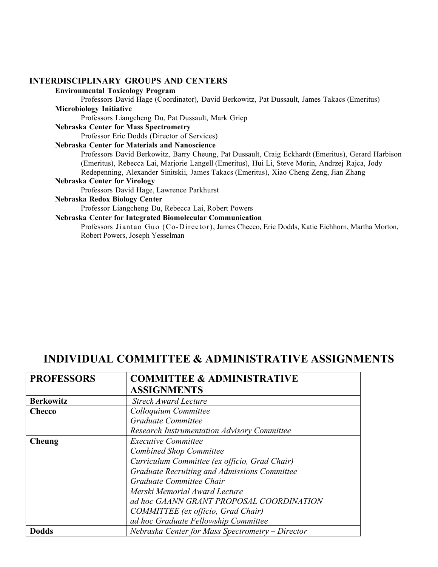#### **INTERDISCIPLINARY GROUPS AND CENTERS**

#### **Environmental Toxicology Program**

Professors David Hage (Coordinator), David Berkowitz, Pat Dussault, James Takacs (Emeritus)

#### **Microbiology Initiative**

Professors Liangcheng Du, Pat Dussault, Mark Griep

#### **Nebraska Center for Mass Spectrometry**

Professor Eric Dodds (Director of Services)

#### **Nebraska Center for Materials and Nanoscience**

Professors David Berkowitz, Barry Cheung, Pat Dussault, Craig Eckhardt (Emeritus), Gerard Harbison (Emeritus), Rebecca Lai, Marjorie Langell (Emeritus), Hui Li, Steve Morin, Andrzej Rajca, Jody Redepenning, Alexander Sinitskii, James Takacs (Emeritus), Xiao Cheng Zeng, Jian Zhang

#### **Nebraska Center for Virology**

Professors David Hage, Lawrence Parkhurst

#### **Nebraska Redox Biology Center**

Professor Liangcheng Du, Rebecca Lai, Robert Powers

#### **Nebraska Center for Integrated Biomolecular Communication**

Professors Jiantao Guo (Co-Director), James Checco, Eric Dodds, Katie Eichhorn, Martha Morton, Robert Powers, Joseph Yesselman

### **INDIVIDUAL COMMITTEE & ADMINISTRATIVE ASSIGNMENTS**

| <b>PROFESSORS</b> | <b>COMMITTEE &amp; ADMINISTRATIVE</b>              |
|-------------------|----------------------------------------------------|
|                   | <b>ASSIGNMENTS</b>                                 |
| <b>Berkowitz</b>  | <b>Streck Award Lecture</b>                        |
| Checco            | Colloquium Committee                               |
|                   | Graduate Committee                                 |
|                   | <b>Research Instrumentation Advisory Committee</b> |
| Cheung            | <b>Executive Committee</b>                         |
|                   | <b>Combined Shop Committee</b>                     |
|                   | Curriculum Committee (ex officio, Grad Chair)      |
|                   | Graduate Recruiting and Admissions Committee       |
|                   | Graduate Committee Chair                           |
|                   | Merski Memorial Award Lecture                      |
|                   | ad hoc GAANN GRANT PROPOSAL COORDINATION           |
|                   | COMMITTEE (ex officio, Grad Chair)                 |
|                   | ad hoc Graduate Fellowship Committee               |
| <b>Dodds</b>      | Nebraska Center for Mass Spectrometry - Director   |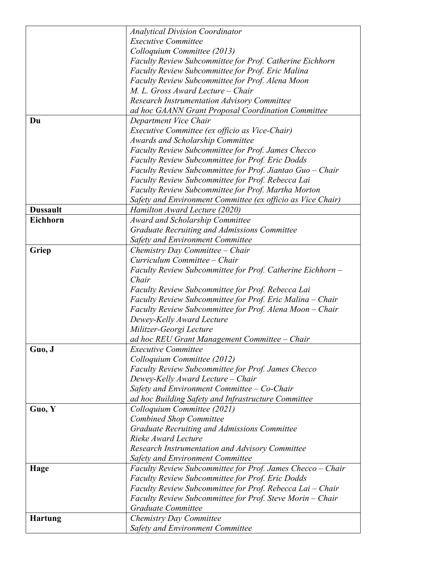|                 | <b>Analytical Division Coordinator</b>                      |
|-----------------|-------------------------------------------------------------|
|                 | <b>Executive Committee</b>                                  |
|                 | Colloquium Committee (2013)                                 |
|                 | Faculty Review Subcommittee for Prof. Catherine Eichhorn    |
|                 |                                                             |
|                 | Faculty Review Subcommittee for Prof. Eric Malina           |
|                 | Faculty Review Subcommittee for Prof. Alena Moon            |
|                 | M. L. Gross Award Lecture - Chair                           |
|                 | <b>Research Instrumentation Advisory Committee</b>          |
|                 | ad hoc GAANN Grant Proposal Coordination Committee          |
| Du              | Department Vice Chair                                       |
|                 | Executive Committee (ex officio as Vice-Chair)              |
|                 | Awards and Scholarship Committee                            |
|                 | Faculty Review Subcommittee for Prof. James Checco          |
|                 | Faculty Review Subcommittee for Prof. Eric Dodds            |
|                 | Faculty Review Subcommittee for Prof. Jiantao Guo - Chair   |
|                 | Faculty Review Subcommittee for Prof. Rebecca Lai           |
|                 | Faculty Review Subcommittee for Prof. Martha Morton         |
|                 | Safety and Environment Committee (ex officio as Vice Chair) |
| <b>Dussault</b> | Hamilton Award Lecture (2020)                               |
| Eichhorn        | Award and Scholarship Committee                             |
|                 | Graduate Recruiting and Admissions Committee                |
|                 | <b>Safety and Environment Committee</b>                     |
|                 |                                                             |
| Griep           | Chemistry Day Committee – Chair                             |
|                 | Curriculum Committee - Chair                                |
|                 | Faculty Review Subcommittee for Prof. Catherine Eichhorn -  |
|                 | Chair                                                       |
|                 | Faculty Review Subcommittee for Prof. Rebecca Lai           |
|                 | Faculty Review Subcommittee for Prof. Eric Malina - Chair   |
|                 | Faculty Review Subcommittee for Prof. Alena Moon - Chair    |
|                 | Dewey-Kelly Award Lecture                                   |
|                 | Militzer-Georgi Lecture                                     |
|                 | ad hoc REU Grant Management Committee - Chair               |
| Guo, J          | <b>Executive Committee</b>                                  |
|                 | Colloquium Committee (2012)                                 |
|                 | <b>Faculty Review Subcommittee for Prof. James Checco</b>   |
|                 | Dewey-Kelly Award Lecture – Chair                           |
|                 | Safety and Environment Committee $-$ Co-Chair               |
|                 | ad hoc Building Safety and Infrastructure Committee         |
| Guo, Y          | Colloquium Committee (2021)                                 |
|                 | <b>Combined Shop Committee</b>                              |
|                 | Graduate Recruiting and Admissions Committee                |
|                 | Rieke Award Lecture                                         |
|                 |                                                             |
|                 | Research Instrumentation and Advisory Committee             |
|                 | <b>Safety and Environment Committee</b>                     |
| Hage            | Faculty Review Subcommittee for Prof. James Checco - Chair  |
|                 | <b>Faculty Review Subcommittee for Prof. Eric Dodds</b>     |
|                 | Faculty Review Subcommittee for Prof. Rebecca Lai – Chair   |
|                 | Faculty Review Subcommittee for Prof. Steve Morin - Chair   |
|                 | Graduate Committee                                          |
| <b>Hartung</b>  | <b>Chemistry Day Committee</b>                              |
|                 | <b>Safety and Environment Committee</b>                     |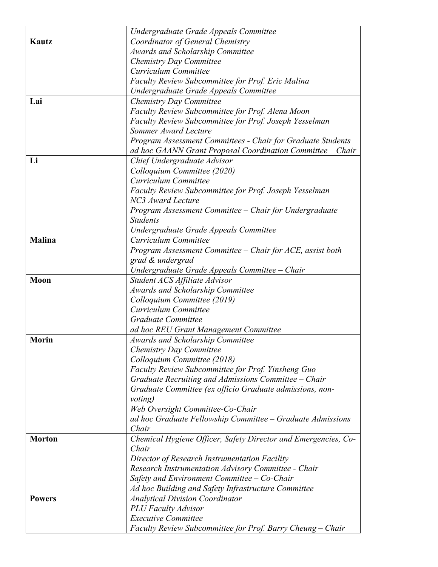|               | Undergraduate Grade Appeals Committee                                     |
|---------------|---------------------------------------------------------------------------|
| Kautz         | Coordinator of General Chemistry                                          |
|               | <b>Awards and Scholarship Committee</b>                                   |
|               | Chemistry Day Committee                                                   |
|               | Curriculum Committee                                                      |
|               | Faculty Review Subcommittee for Prof. Eric Malina                         |
|               | Undergraduate Grade Appeals Committee                                     |
| Lai           | <b>Chemistry Day Committee</b>                                            |
|               | Faculty Review Subcommittee for Prof. Alena Moon                          |
|               | Faculty Review Subcommittee for Prof. Joseph Yesselman                    |
|               | Sommer Award Lecture                                                      |
|               | Program Assessment Committees - Chair for Graduate Students               |
|               | ad hoc GAANN Grant Proposal Coordination Committee - Chair                |
| Li            | Chief Undergraduate Advisor                                               |
|               | Colloquium Committee (2020)                                               |
|               | Curriculum Committee                                                      |
|               | Faculty Review Subcommittee for Prof. Joseph Yesselman                    |
|               | NC3 Award Lecture                                                         |
|               | Program Assessment Committee - Chair for Undergraduate                    |
|               | <b>Students</b>                                                           |
|               | Undergraduate Grade Appeals Committee                                     |
| <b>Malina</b> | Curriculum Committee                                                      |
|               | Program Assessment Committee – Chair for ACE, assist both                 |
|               | grad & undergrad                                                          |
|               |                                                                           |
| Moon          | Undergraduate Grade Appeals Committee – Chair                             |
|               | Student ACS Affiliate Advisor<br>Awards and Scholarship Committee         |
|               | Colloquium Committee (2019)                                               |
|               | Curriculum Committee                                                      |
|               | Graduate Committee                                                        |
|               |                                                                           |
| <b>Morin</b>  | ad hoc REU Grant Management Committee<br>Awards and Scholarship Committee |
|               | Chemistry Day Committee                                                   |
|               | Colloquium Committee (2018)                                               |
|               | Faculty Review Subcommittee for Prof. Yinsheng Guo                        |
|               | Graduate Recruiting and Admissions Committee - Chair                      |
|               | Graduate Committee (ex officio Graduate admissions, non-                  |
|               |                                                                           |
|               | <i>voting</i> )<br>Web Oversight Committee-Co-Chair                       |
|               | ad hoc Graduate Fellowship Committee – Graduate Admissions                |
|               | Chair                                                                     |
| <b>Morton</b> | Chemical Hygiene Officer, Safety Director and Emergencies, Co-            |
|               | Chair                                                                     |
|               | Director of Research Instrumentation Facility                             |
|               | Research Instrumentation Advisory Committee - Chair                       |
|               | Safety and Environment Committee $-$ Co-Chair                             |
|               |                                                                           |
|               | Ad hoc Building and Safety Infrastructure Committee                       |
| <b>Powers</b> | <b>Analytical Division Coordinator</b>                                    |
|               | <b>PLU</b> Faculty Advisor<br><b>Executive Committee</b>                  |
|               |                                                                           |
|               | Faculty Review Subcommittee for Prof. Barry Cheung – Chair                |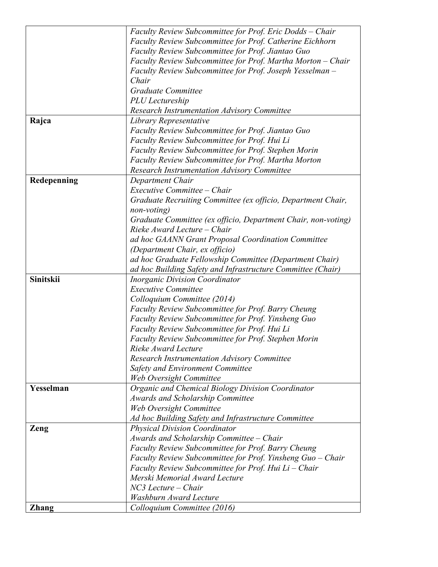|              | Faculty Review Subcommittee for Prof. Eric Dodds – Chair      |
|--------------|---------------------------------------------------------------|
|              | Faculty Review Subcommittee for Prof. Catherine Eichhorn      |
|              | Faculty Review Subcommittee for Prof. Jiantao Guo             |
|              | Faculty Review Subcommittee for Prof. Martha Morton – Chair   |
|              | Faculty Review Subcommittee for Prof. Joseph Yesselman -      |
|              | Chair                                                         |
|              | Graduate Committee                                            |
|              | PLU Lectureship                                               |
|              | <b>Research Instrumentation Advisory Committee</b>            |
| Rajca        | Library Representative                                        |
|              | Faculty Review Subcommittee for Prof. Jiantao Guo             |
|              | Faculty Review Subcommittee for Prof. Hui Li                  |
|              | Faculty Review Subcommittee for Prof. Stephen Morin           |
|              | Faculty Review Subcommittee for Prof. Martha Morton           |
|              | <b>Research Instrumentation Advisory Committee</b>            |
| Redepenning  | Department Chair                                              |
|              | Executive Committee - Chair                                   |
|              | Graduate Recruiting Committee (ex officio, Department Chair,  |
|              | non-voting)                                                   |
|              | Graduate Committee (ex officio, Department Chair, non-voting) |
|              | Rieke Award Lecture – Chair                                   |
|              | ad hoc GAANN Grant Proposal Coordination Committee            |
|              | (Department Chair, ex officio)                                |
|              | ad hoc Graduate Fellowship Committee (Department Chair)       |
|              | ad hoc Building Safety and Infrastructure Committee (Chair)   |
| Sinitskii    | <b>Inorganic Division Coordinator</b>                         |
|              | <b>Executive Committee</b>                                    |
|              | Colloquium Committee (2014)                                   |
|              | Faculty Review Subcommittee for Prof. Barry Cheung            |
|              | Faculty Review Subcommittee for Prof. Yinsheng Guo            |
|              | Faculty Review Subcommittee for Prof. Hui Li                  |
|              | Faculty Review Subcommittee for Prof. Stephen Morin           |
|              | Rieke Award Lecture                                           |
|              | <b>Research Instrumentation Advisory Committee</b>            |
|              | <b>Safety and Environment Committee</b>                       |
|              | Web Oversight Committee                                       |
| Yesselman    | Organic and Chemical Biology Division Coordinator             |
|              | <b>Awards and Scholarship Committee</b>                       |
|              | Web Oversight Committee                                       |
|              | Ad hoc Building Safety and Infrastructure Committee           |
| Zeng         | <b>Physical Division Coordinator</b>                          |
|              | Awards and Scholarship Committee - Chair                      |
|              | Faculty Review Subcommittee for Prof. Barry Cheung            |
|              | Faculty Review Subcommittee for Prof. Yinsheng Guo – Chair    |
|              | Faculty Review Subcommittee for Prof. Hui Li – Chair          |
|              | Merski Memorial Award Lecture                                 |
|              | $NC3$ Lecture – Chair                                         |
|              | <b>Washburn Award Lecture</b>                                 |
| <b>Zhang</b> | Colloquium Committee (2016)                                   |